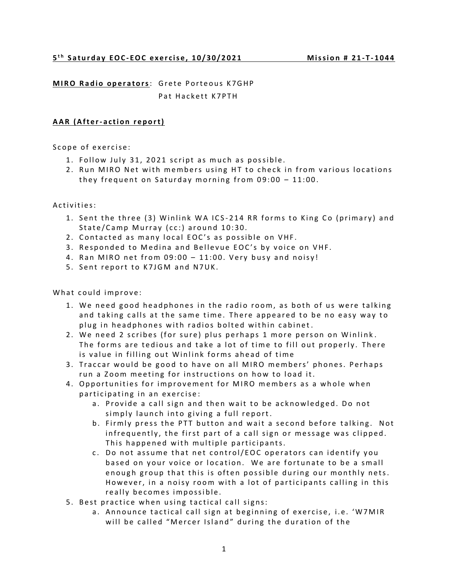**MIRO Radio operators: Grete Porteous K7GHP** Pat Hackett K7PTH

## **AAR** (After-action report)

Scope of exercise:

- 1. Follow July 31, 2021 script as much as possible.
- 2. Run MIRO Net with members using HT to check in from various locations they frequent on Saturday morning from  $09:00 - 11:00$ .

Activities:

- 1. Sent the three (3) Winlink WA ICS-214 RR forms to King Co (primary) and State/Camp Murray (cc:) around 10:30.
- 2. Contacted as many local EOC's as possible on VHF.
- 3. Responded to Medina and Bellevue EOC's by voice on VHF.
- 4. Ran MIRO net from  $09:00 11:00$ . Very busy and noisy!
- 5. Sent report to K7JGM and N7UK.

What could improve:

- 1. We need good headphones in the radio room, as both of us were talking and taking calls at the same time. There appeared to be no easy way to plug in headphones with radios bolted within cabinet.
- 2. We need 2 scribes (for sure) plus perhaps 1 more person on Winlink. The forms are tedious and take a lot of time to fill out properly. There is value in filling out Winlink forms ahead of time
- 3. Traccar would be good to have on all MIRO members' phones. Perhaps run a Zoom meeting for instructions on how to load it.
- 4. Opportunities for improvement for MIRO members as a whole when participating in an exercise:
	- a. Provide a call sign and then wait to be acknowledged. Do not simply launch into giving a full report.
	- b. Firmly press the PTT button and wait a second before talking. Not in frequently, the first part of a call sign or message was clipped. This happened with multiple participants.
	- c. Do not assume that net control/EOC operators can identify you based on your voice or location. We are fortunate to be a small enough group that this is often possible during our monthly nets. However, in a noisy room with a lot of participants calling in this really becomes impossible.
- 5. Best practice when using tactical call signs:
	- a. Announce tactical call sign at beginning of exercise, i.e. 'W7MIR will be called "Mercer Island" during the duration of the